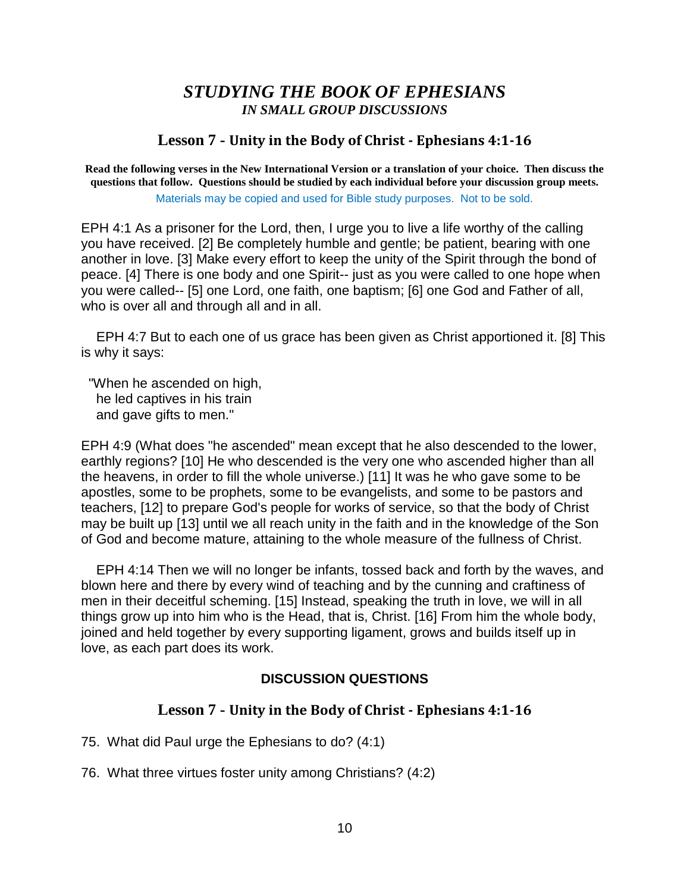# *STUDYING THE BOOK OF EPHESIANS IN SMALL GROUP DISCUSSIONS*

#### **Lesson 7 - Unity in the Body of Christ - Ephesians 4:1-16**

**Read the following verses in the New International Version or a translation of your choice. Then discuss the questions that follow. Questions should be studied by each individual before your discussion group meets.** Materials may be copied and used for Bible study purposes. Not to be sold.

EPH 4:1 As a prisoner for the Lord, then, I urge you to live a life worthy of the calling you have received. [2] Be completely humble and gentle; be patient, bearing with one another in love. [3] Make every effort to keep the unity of the Spirit through the bond of peace. [4] There is one body and one Spirit-- just as you were called to one hope when you were called-- [5] one Lord, one faith, one baptism; [6] one God and Father of all, who is over all and through all and in all.

 EPH 4:7 But to each one of us grace has been given as Christ apportioned it. [8] This is why it says:

 "When he ascended on high, he led captives in his train and gave gifts to men."

EPH 4:9 (What does "he ascended" mean except that he also descended to the lower, earthly regions? [10] He who descended is the very one who ascended higher than all the heavens, in order to fill the whole universe.) [11] It was he who gave some to be apostles, some to be prophets, some to be evangelists, and some to be pastors and teachers, [12] to prepare God's people for works of service, so that the body of Christ may be built up [13] until we all reach unity in the faith and in the knowledge of the Son of God and become mature, attaining to the whole measure of the fullness of Christ.

 EPH 4:14 Then we will no longer be infants, tossed back and forth by the waves, and blown here and there by every wind of teaching and by the cunning and craftiness of men in their deceitful scheming. [15] Instead, speaking the truth in love, we will in all things grow up into him who is the Head, that is, Christ. [16] From him the whole body, joined and held together by every supporting ligament, grows and builds itself up in love, as each part does its work.

## **DISCUSSION QUESTIONS**

#### **Lesson 7 - Unity in the Body of Christ - Ephesians 4:1-16**

- 75. What did Paul urge the Ephesians to do? (4:1)
- 76. What three virtues foster unity among Christians? (4:2)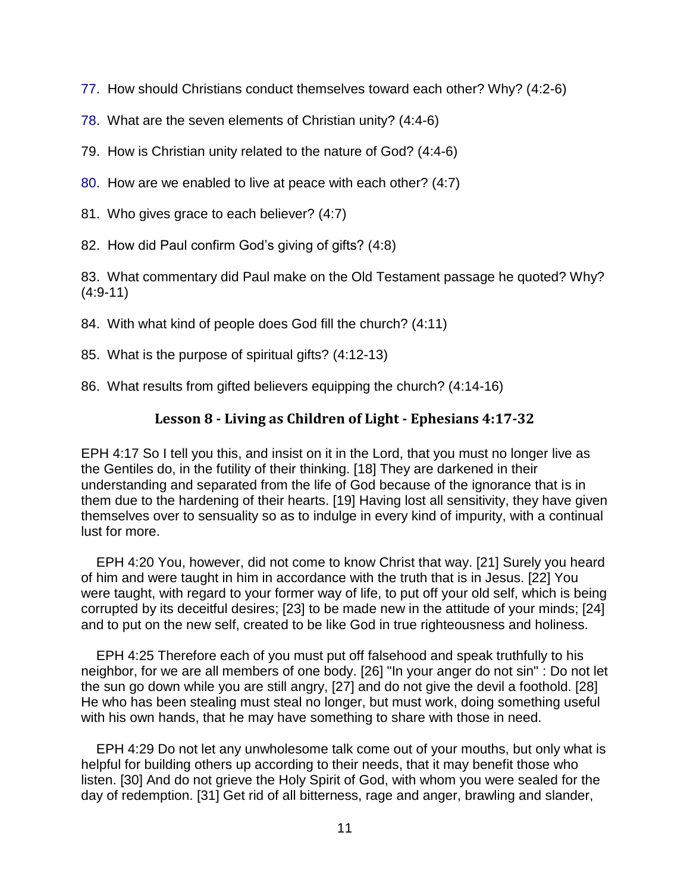- 77. How should Christians conduct themselves toward each other? Why? (4:2-6)
- 78. What are the seven elements of Christian unity? (4:4-6)
- 79. How is Christian unity related to the nature of God? (4:4-6)
- 80. How are we enabled to live at peace with each other? (4:7)
- 81. Who gives grace to each believer? (4:7)
- 82. How did Paul confirm God's giving of gifts? (4:8)

83. What commentary did Paul make on the Old Testament passage he quoted? Why? (4:9-11)

- 84. With what kind of people does God fill the church? (4:11)
- 85. What is the purpose of spiritual gifts? (4:12-13)
- 86. What results from gifted believers equipping the church? (4:14-16)

## **Lesson 8 - Living as Children of Light - Ephesians 4:17-32**

EPH 4:17 So I tell you this, and insist on it in the Lord, that you must no longer live as the Gentiles do, in the futility of their thinking. [18] They are darkened in their understanding and separated from the life of God because of the ignorance that is in them due to the hardening of their hearts. [19] Having lost all sensitivity, they have given themselves over to sensuality so as to indulge in every kind of impurity, with a continual lust for more.

 EPH 4:20 You, however, did not come to know Christ that way. [21] Surely you heard of him and were taught in him in accordance with the truth that is in Jesus. [22] You were taught, with regard to your former way of life, to put off your old self, which is being corrupted by its deceitful desires; [23] to be made new in the attitude of your minds; [24] and to put on the new self, created to be like God in true righteousness and holiness.

 EPH 4:25 Therefore each of you must put off falsehood and speak truthfully to his neighbor, for we are all members of one body. [26] "In your anger do not sin" : Do not let the sun go down while you are still angry, [27] and do not give the devil a foothold. [28] He who has been stealing must steal no longer, but must work, doing something useful with his own hands, that he may have something to share with those in need.

 EPH 4:29 Do not let any unwholesome talk come out of your mouths, but only what is helpful for building others up according to their needs, that it may benefit those who listen. [30] And do not grieve the Holy Spirit of God, with whom you were sealed for the day of redemption. [31] Get rid of all bitterness, rage and anger, brawling and slander,